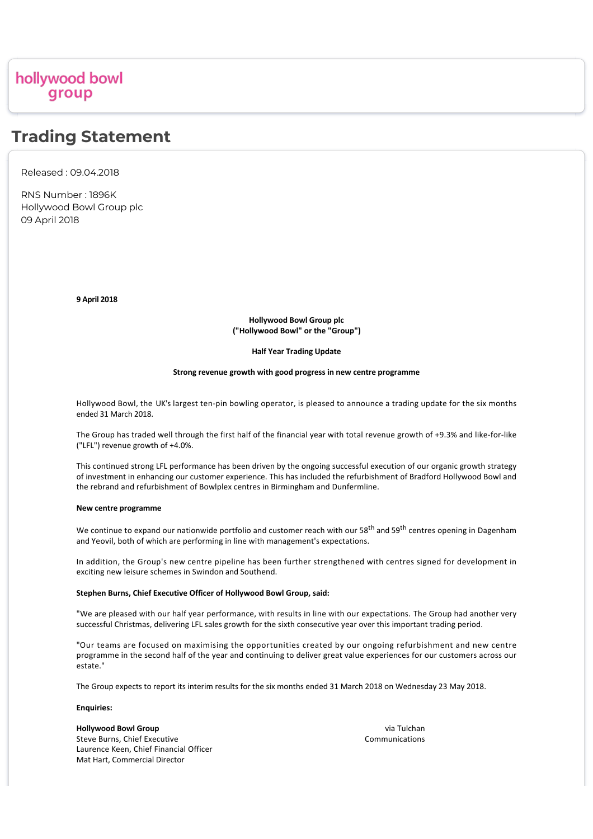## hollywood bowl aroup

# **Trading Statement**

Released : 09.04.2018

RNS Number : 1896K Hollywood Bowl Group plc 09 April 2018

**9 April 2018**

**Hollywood Bowl Group plc ("Hollywood Bowl" or the "Group")**

**Half Year Trading Update**

#### **Strong revenue growth with good progress in new centre programme**

Hollywood Bowl, the UK's largest ten‐pin bowling operator, is pleased to announce a trading update for the six months ended 31 March 2018.

The Group has traded well through the first half of the financial year with total revenue growth of +9.3% and like-for-like ("LFL") revenue growth of +4.0%.

This continued strong LFL performance has been driven by the ongoing successful execution of our organic growth strategy of investment in enhancing our customer experience. This has included the refurbishment of Bradford Hollywood Bowl and the rebrand and refurbishment of Bowlplex centres in Birmingham and Dunfermline.

#### **New centre programme**

We continue to expand our nationwide portfolio and customer reach with our 58<sup>th</sup> and 59<sup>th</sup> centres opening in Dagenham and Yeovil, both of which are performing in line with management's expectations.

In addition, the Group's new centre pipeline has been further strengthened with centres signed for development in exciting new leisure schemes in Swindon and Southend.

#### **Stephen Burns, Chief Executive Officer of Hollywood Bowl Group, said:**

"We are pleased with our half year performance, with results in line with our expectations. The Group had another very successful Christmas, delivering LFL sales growth for the sixth consecutive year over this important trading period.

"Our teams are focused on maximising the opportunities created by our ongoing refurbishment and new centre programme in the second half of the year and continuing to deliver great value experiences for our customers across our estate."

The Group expects to report its interim results for the six months ended 31 March 2018 on Wednesday 23 May 2018.

#### **Enquiries:**

**Hollywood Bowl Group** Steve Burns, Chief Executive Laurence Keen, Chief Financial Officer Mat Hart, Commercial Director

via Tulchan Communications